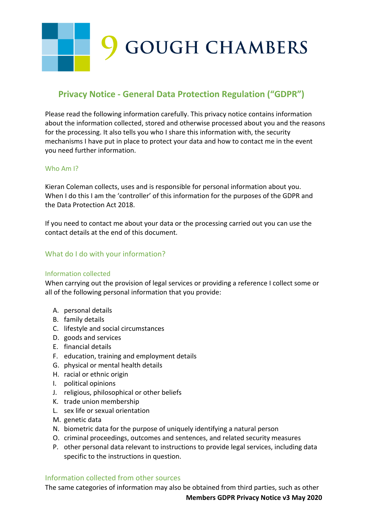#### **Privacy Notice - General Data Protection Regulation ("GDPR")**

Please read the following information carefully. This privacy notice contains information about the information collected, stored and otherwise processed about you and the reasons for the processing. It also tells you who I share this information with, the security mechanisms I have put in place to protect your data and how to contact me in the event you need further information.

#### Who Am I?

Kieran Coleman collects, uses and is responsible for personal information about you. When I do this I am the 'controller' of this information for the purposes of the GDPR and the Data Protection Act 2018.

If you need to contact me about your data or the processing carried out you can use the contact details at the end of this document.

#### What do I do with your information?

#### Information collected

When carrying out the provision of legal services or providing a reference I collect some or all of the following personal information that you provide:

- A. personal details
- B. family details
- C. lifestyle and social circumstances
- D. goods and services
- E. financial details
- F. education, training and employment details
- G. physical or mental health details
- H. racial or ethnic origin
- I. political opinions
- J. religious, philosophical or other beliefs
- K. trade union membership
- L. sex life or sexual orientation
- M. genetic data
- N. biometric data for the purpose of uniquely identifying a natural person
- O. criminal proceedings, outcomes and sentences, and related security measures
- P. other personal data relevant to instructions to provide legal services, including data specific to the instructions in question.

#### Information collected from other sources

The same categories of information may also be obtained from third parties, such as other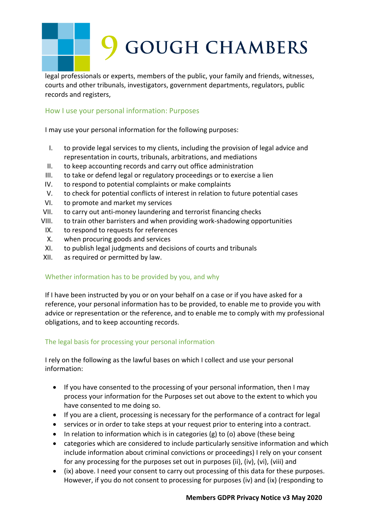legal professionals or experts, members of the public, your family and friends, witnesses, courts and other tribunals, investigators, government departments, regulators, public records and registers,

#### How I use your personal information: Purposes

I may use your personal information for the following purposes:

- I. to provide legal services to my clients, including the provision of legal advice and representation in courts, tribunals, arbitrations, and mediations
- II. to keep accounting records and carry out office administration
- III. to take or defend legal or regulatory proceedings or to exercise a lien
- IV. to respond to potential complaints or make complaints
- V. to check for potential conflicts of interest in relation to future potential cases
- VI. to promote and market my services
- VII. to carry out anti-money laundering and terrorist financing checks
- VIII. to train other barristers and when providing work-shadowing opportunities
- IX. to respond to requests for references
- X. when procuring goods and services
- XI. to publish legal judgments and decisions of courts and tribunals
- XII. as required or permitted by law.

#### Whether information has to be provided by you, and why

If I have been instructed by you or on your behalf on a case or if you have asked for a reference, your personal information has to be provided, to enable me to provide you with advice or representation or the reference, and to enable me to comply with my professional obligations, and to keep accounting records.

#### The legal basis for processing your personal information

I rely on the following as the lawful bases on which I collect and use your personal information:

- If you have consented to the processing of your personal information, then I may process your information for the Purposes set out above to the extent to which you have consented to me doing so.
- If you are a client, processing is necessary for the performance of a contract for legal
- services or in order to take steps at your request prior to entering into a contract.
- In relation to information which is in categories  $(g)$  to  $(o)$  above (these being
- categories which are considered to include particularly sensitive information and which include information about criminal convictions or proceedings) I rely on your consent for any processing for the purposes set out in purposes (ii), (iv), (vi), (viii) and
- (ix) above. I need your consent to carry out processing of this data for these purposes. However, if you do not consent to processing for purposes (iv) and (ix) (responding to

#### **Members GDPR Privacy Notice v3 May 2020**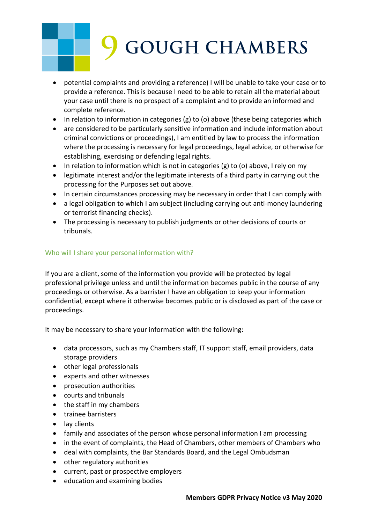- potential complaints and providing a reference) I will be unable to take your case or to provide a reference. This is because I need to be able to retain all the material about your case until there is no prospect of a complaint and to provide an informed and complete reference.
- In relation to information in categories (g) to (o) above (these being categories which
- are considered to be particularly sensitive information and include information about criminal convictions or proceedings), I am entitled by law to process the information where the processing is necessary for legal proceedings, legal advice, or otherwise for establishing, exercising or defending legal rights.
- In relation to information which is not in categories (g) to (o) above, I rely on my
- legitimate interest and/or the legitimate interests of a third party in carrying out the processing for the Purposes set out above.
- In certain circumstances processing may be necessary in order that I can comply with
- a legal obligation to which I am subject (including carrying out anti-money laundering or terrorist financing checks).
- The processing is necessary to publish judgments or other decisions of courts or tribunals.

#### Who will I share your personal information with?

If you are a client, some of the information you provide will be protected by legal professional privilege unless and until the information becomes public in the course of any proceedings or otherwise. As a barrister I have an obligation to keep your information confidential, except where it otherwise becomes public or is disclosed as part of the case or proceedings.

It may be necessary to share your information with the following:

- data processors, such as my Chambers staff, IT support staff, email providers, data storage providers
- other legal professionals
- experts and other witnesses
- prosecution authorities
- courts and tribunals
- the staff in my chambers
- trainee barristers
- lay clients
- family and associates of the person whose personal information I am processing
- in the event of complaints, the Head of Chambers, other members of Chambers who
- deal with complaints, the Bar Standards Board, and the Legal Ombudsman
- other regulatory authorities
- current, past or prospective employers
- education and examining bodies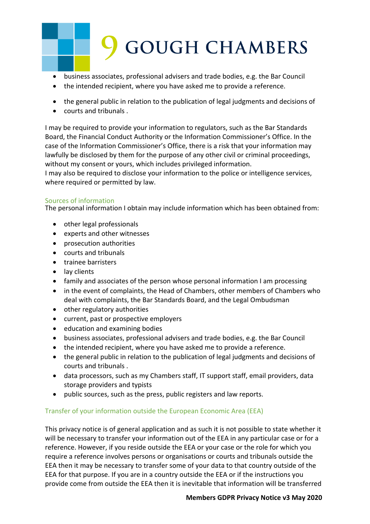- business associates, professional advisers and trade bodies, e.g. the Bar Council
- the intended recipient, where you have asked me to provide a reference.
- the general public in relation to the publication of legal judgments and decisions of
- courts and tribunals .

I may be required to provide your information to regulators, such as the Bar Standards Board, the Financial Conduct Authority or the Information Commissioner's Office. In the case of the Information Commissioner's Office, there is a risk that your information may lawfully be disclosed by them for the purpose of any other civil or criminal proceedings, without my consent or yours, which includes privileged information.

I may also be required to disclose your information to the police or intelligence services, where required or permitted by law.

#### Sources of information

The personal information I obtain may include information which has been obtained from:

- other legal professionals
- experts and other witnesses
- prosecution authorities
- courts and tribunals
- trainee barristers
- lay clients
- family and associates of the person whose personal information I am processing
- in the event of complaints, the Head of Chambers, other members of Chambers who deal with complaints, the Bar Standards Board, and the Legal Ombudsman
- other regulatory authorities
- current, past or prospective employers
- education and examining bodies
- business associates, professional advisers and trade bodies, e.g. the Bar Council
- the intended recipient, where you have asked me to provide a reference.
- the general public in relation to the publication of legal judgments and decisions of courts and tribunals .
- data processors, such as my Chambers staff, IT support staff, email providers, data storage providers and typists
- public sources, such as the press, public registers and law reports.

#### Transfer of your information outside the European Economic Area (EEA)

This privacy notice is of general application and as such it is not possible to state whether it will be necessary to transfer your information out of the EEA in any particular case or for a reference. However, if you reside outside the EEA or your case or the role for which you require a reference involves persons or organisations or courts and tribunals outside the EEA then it may be necessary to transfer some of your data to that country outside of the EEA for that purpose. If you are in a country outside the EEA or if the instructions you provide come from outside the EEA then it is inevitable that information will be transferred

#### **Members GDPR Privacy Notice v3 May 2020**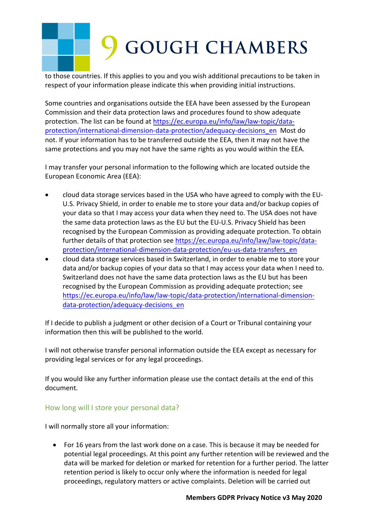to those countries. If this applies to you and you wish additional precautions to be taken in respect of your information please indicate this when providing initial instructions.

Some countries and organisations outside the EEA have been assessed by the European Commission and their data protection laws and procedures found to show adequate protection. The list can be found at https://ec.europa.eu/info/law/law-topic/dataprotection/international-dimension-data-protection/adequacy-decisions\_en Most do not. If your information has to be transferred outside the EEA, then it may not have the same protections and you may not have the same rights as you would within the EEA.

I may transfer your personal information to the following which are located outside the European Economic Area (EEA):

- cloud data storage services based in the USA who have agreed to comply with the EU-U.S. Privacy Shield, in order to enable me to store your data and/or backup copies of your data so that I may access your data when they need to. The USA does not have the same data protection laws as the EU but the EU-U.S. Privacy Shield has been recognised by the European Commission as providing adequate protection. To obtain further details of that protection see https://ec.europa.eu/info/law/law-topic/dataprotection/international-dimension-data-protection/eu-us-data-transfers\_en
- cloud data storage services based in Switzerland, in order to enable me to store your data and/or backup copies of your data so that I may access your data when I need to. Switzerland does not have the same data protection laws as the EU but has been recognised by the European Commission as providing adequate protection; see https://ec.europa.eu/info/law/law-topic/data-protection/international-dimensiondata-protection/adequacy-decisions\_en

If I decide to publish a judgment or other decision of a Court or Tribunal containing your information then this will be published to the world.

I will not otherwise transfer personal information outside the EEA except as necessary for providing legal services or for any legal proceedings.

If you would like any further information please use the contact details at the end of this document*.*

#### How long will I store your personal data?

I will normally store all your information:

• For 16 years from the last work done on a case. This is because it may be needed for potential legal proceedings. At this point any further retention will be reviewed and the data will be marked for deletion or marked for retention for a further period. The latter retention period is likely to occur only where the information is needed for legal proceedings, regulatory matters or active complaints. Deletion will be carried out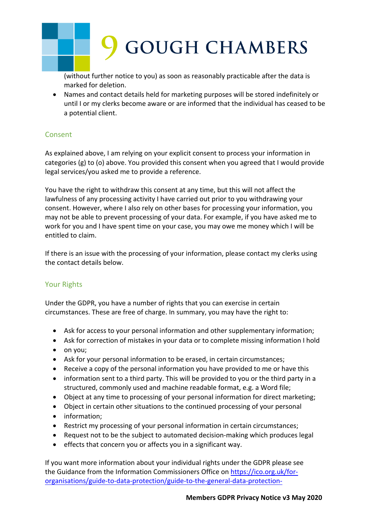(without further notice to you) as soon as reasonably practicable after the data is marked for deletion.

• Names and contact details held for marketing purposes will be stored indefinitely or until I or my clerks become aware or are informed that the individual has ceased to be a potential client.

#### Consent

As explained above, I am relying on your explicit consent to process your information in categories (g) to (o) above. You provided this consent when you agreed that I would provide legal services/you asked me to provide a reference.

You have the right to withdraw this consent at any time, but this will not affect the lawfulness of any processing activity I have carried out prior to you withdrawing your consent. However, where I also rely on other bases for processing your information, you may not be able to prevent processing of your data. For example, if you have asked me to work for you and I have spent time on your case, you may owe me money which I will be entitled to claim.

If there is an issue with the processing of your information, please contact my clerks using the contact details below.

#### Your Rights

Under the GDPR, you have a number of rights that you can exercise in certain circumstances. These are free of charge. In summary, you may have the right to:

- Ask for access to your personal information and other supplementary information;
- Ask for correction of mistakes in your data or to complete missing information I hold
- on you;
- Ask for your personal information to be erased, in certain circumstances;
- Receive a copy of the personal information you have provided to me or have this
- information sent to a third party. This will be provided to you or the third party in a structured, commonly used and machine readable format, e.g. a Word file;
- Object at any time to processing of your personal information for direct marketing;
- Object in certain other situations to the continued processing of your personal
- information;
- Restrict my processing of your personal information in certain circumstances;
- Request not to be the subject to automated decision-making which produces legal
- effects that concern you or affects you in a significant way.

If you want more information about your individual rights under the GDPR please see the Guidance from the Information Commissioners Office on https://ico.org.uk/fororganisations/guide-to-data-protection/guide-to-the-general-data-protection-